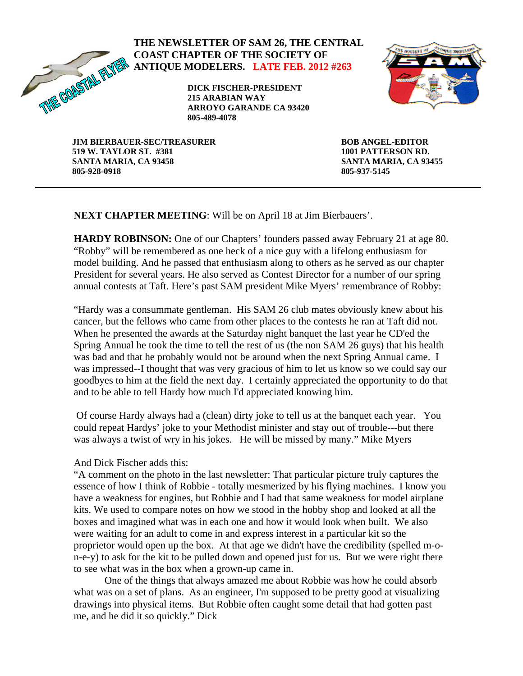

## **THE NEWSLETTER OF SAM 26, THE CENTRAL COAST CHAPTER OF THE SOCIETY OF ANTIQUE MODELERS. LATE FEB. 2012 #263**

**DICK FISCHER-PRESIDENT 215 ARABIAN WAY ARROYO GARANDE CA 93420 805-489-4078** 



**JIM BIERBAUER-SEC/TREASURER 519 W. TAYLOR ST. #381 SANTA MARIA, CA 93458 805-928-0918** 

**BOB ANGEL-EDITOR 1001 PATTERSON RD. SANTA MARIA, CA 93455 805-937-5145** 

**NEXT CHAPTER MEETING**: Will be on April 18 at Jim Bierbauers'.

**HARDY ROBINSON:** One of our Chapters' founders passed away February 21 at age 80. "Robby" will be remembered as one heck of a nice guy with a lifelong enthusiasm for model building. And he passed that enthusiasm along to others as he served as our chapter President for several years. He also served as Contest Director for a number of our spring annual contests at Taft. Here's past SAM president Mike Myers' remembrance of Robby:

"Hardy was a consummate gentleman. His SAM 26 club mates obviously knew about his cancer, but the fellows who came from other places to the contests he ran at Taft did not. When he presented the awards at the Saturday night banquet the last year he CD'ed the Spring Annual he took the time to tell the rest of us (the non SAM 26 guys) that his health was bad and that he probably would not be around when the next Spring Annual came. I was impressed--I thought that was very gracious of him to let us know so we could say our goodbyes to him at the field the next day. I certainly appreciated the opportunity to do that and to be able to tell Hardy how much I'd appreciated knowing him.

 Of course Hardy always had a (clean) dirty joke to tell us at the banquet each year. You could repeat Hardys' joke to your Methodist minister and stay out of trouble---but there was always a twist of wry in his jokes. He will be missed by many." Mike Myers

And Dick Fischer adds this:

"A comment on the photo in the last newsletter: That particular picture truly captures the essence of how I think of Robbie - totally mesmerized by his flying machines. I know you have a weakness for engines, but Robbie and I had that same weakness for model airplane kits. We used to compare notes on how we stood in the hobby shop and looked at all the boxes and imagined what was in each one and how it would look when built. We also were waiting for an adult to come in and express interest in a particular kit so the proprietor would open up the box. At that age we didn't have the credibility (spelled m-on-e-y) to ask for the kit to be pulled down and opened just for us. But we were right there to see what was in the box when a grown-up came in.

One of the things that always amazed me about Robbie was how he could absorb what was on a set of plans. As an engineer, I'm supposed to be pretty good at visualizing drawings into physical items. But Robbie often caught some detail that had gotten past me, and he did it so quickly." Dick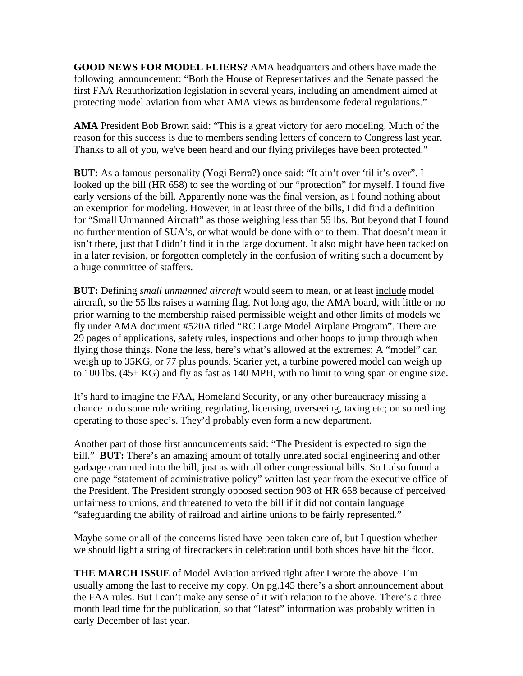**GOOD NEWS FOR MODEL FLIERS?** AMA headquarters and others have made the following announcement: "Both the House of Representatives and the Senate passed the first FAA Reauthorization legislation in several years, including an amendment aimed at protecting model aviation from what AMA views as burdensome federal regulations."

**AMA** President Bob Brown said: "This is a great victory for aero modeling. Much of the reason for this success is due to members sending letters of concern to Congress last year. Thanks to all of you, we've been heard and our flying privileges have been protected."

**BUT:** As a famous personality (Yogi Berra?) once said: "It ain't over 'til it's over". I looked up the bill (HR 658) to see the wording of our "protection" for myself. I found five early versions of the bill. Apparently none was the final version, as I found nothing about an exemption for modeling. However, in at least three of the bills, I did find a definition for "Small Unmanned Aircraft" as those weighing less than 55 lbs. But beyond that I found no further mention of SUA's, or what would be done with or to them. That doesn't mean it isn't there, just that I didn't find it in the large document. It also might have been tacked on in a later revision, or forgotten completely in the confusion of writing such a document by a huge committee of staffers.

**BUT:** Defining *small unmanned aircraft* would seem to mean, or at least *include* model aircraft, so the 55 lbs raises a warning flag. Not long ago, the AMA board, with little or no prior warning to the membership raised permissible weight and other limits of models we fly under AMA document #520A titled "RC Large Model Airplane Program". There are 29 pages of applications, safety rules, inspections and other hoops to jump through when flying those things. None the less, here's what's allowed at the extremes: A "model" can weigh up to 35KG, or 77 plus pounds. Scarier yet, a turbine powered model can weigh up to 100 lbs. (45+ KG) and fly as fast as 140 MPH, with no limit to wing span or engine size.

It's hard to imagine the FAA, Homeland Security, or any other bureaucracy missing a chance to do some rule writing, regulating, licensing, overseeing, taxing etc; on something operating to those spec's. They'd probably even form a new department.

Another part of those first announcements said: "The President is expected to sign the bill." **BUT:** There's an amazing amount of totally unrelated social engineering and other garbage crammed into the bill, just as with all other congressional bills. So I also found a one page "statement of administrative policy" written last year from the executive office of the President. The President strongly opposed section 903 of HR 658 because of perceived unfairness to unions, and threatened to veto the bill if it did not contain language "safeguarding the ability of railroad and airline unions to be fairly represented."

Maybe some or all of the concerns listed have been taken care of, but I question whether we should light a string of firecrackers in celebration until both shoes have hit the floor.

**THE MARCH ISSUE** of Model Aviation arrived right after I wrote the above. I'm usually among the last to receive my copy. On pg.145 there's a short announcement about the FAA rules. But I can't make any sense of it with relation to the above. There's a three month lead time for the publication, so that "latest" information was probably written in early December of last year.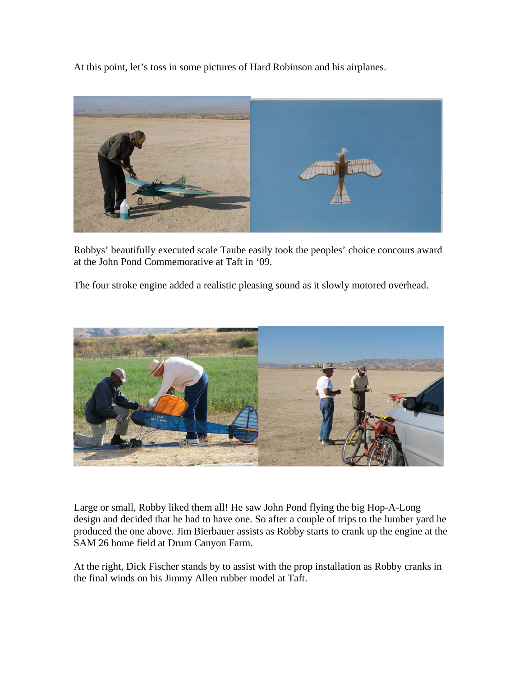At this point, let's toss in some pictures of Hard Robinson and his airplanes.



Robbys' beautifully executed scale Taube easily took the peoples' choice concours award at the John Pond Commemorative at Taft in '09.

The four stroke engine added a realistic pleasing sound as it slowly motored overhead.



Large or small, Robby liked them all! He saw John Pond flying the big Hop-A-Long design and decided that he had to have one. So after a couple of trips to the lumber yard he produced the one above. Jim Bierbauer assists as Robby starts to crank up the engine at the SAM 26 home field at Drum Canyon Farm.

At the right, Dick Fischer stands by to assist with the prop installation as Robby cranks in the final winds on his Jimmy Allen rubber model at Taft.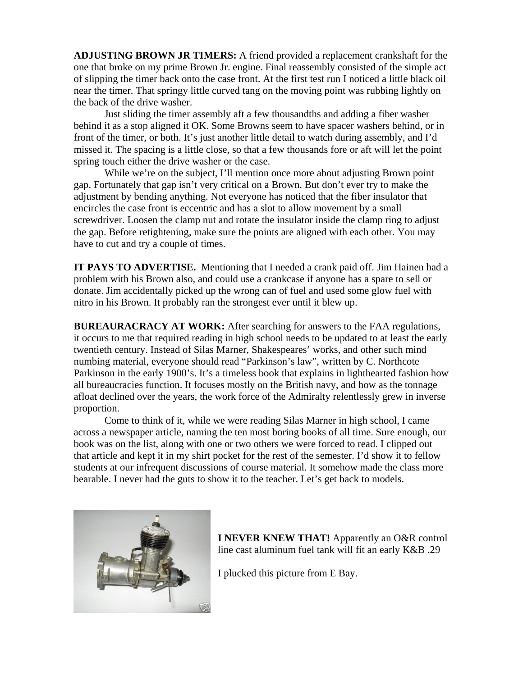**ADJUSTING BROWN JR TIMERS:** A friend provided a replacement crankshaft for the one that broke on my prime Brown Jr. engine. Final reassembly consisted of the simple act of slipping the timer back onto the case front. At the first test run I noticed a little black oil near the timer. That springy little curved tang on the moving point was rubbing lightly on the back of the drive washer.

Just sliding the timer assembly aft a few thousandths and adding a fiber washer behind it as a stop aligned it OK. Some Browns seem to have spacer washers behind, or in front of the timer, or both. It's just another little detail to watch during assembly, and I'd missed it. The spacing is a little close, so that a few thousands fore or aft will let the point spring touch either the drive washer or the case.

While we're on the subject, I'll mention once more about adjusting Brown point gap. Fortunately that gap isn't very critical on a Brown. But don't ever try to make the adjustment by bending anything. Not everyone has noticed that the fiber insulator that encircles the case front is eccentric and has a slot to allow movement by a small screwdriver. Loosen the clamp nut and rotate the insulator inside the clamp ring to adjust the gap. Before retightening, make sure the points are aligned with each other. You may have to cut and try a couple of times.

**IT PAYS TO ADVERTISE.** Mentioning that I needed a crank paid off. Jim Hainen had a problem with his Brown also, and could use a crankcase if anyone has a spare to sell or donate. Jim accidentally picked up the wrong can of fuel and used some glow fuel with nitro in his Brown. It probably ran the strongest ever until it blew up.

**BUREAURACRACY AT WORK:** After searching for answers to the FAA regulations, it occurs to me that required reading in high school needs to be updated to at least the early twentieth century. Instead of Silas Marner, Shakespeares' works, and other such mind numbing material, everyone should read "Parkinson's law", written by C. Northcote Parkinson in the early 1900's. It's a timeless book that explains in lighthearted fashion how all bureaucracies function. It focuses mostly on the British navy, and how as the tonnage afloat declined over the years, the work force of the Admiralty relentlessly grew in inverse proportion.

 Come to think of it, while we were reading Silas Marner in high school, I came across a newspaper article, naming the ten most boring books of all time. Sure enough, our book was on the list, along with one or two others we were forced to read. I clipped out that article and kept it in my shirt pocket for the rest of the semester. I'd show it to fellow students at our infrequent discussions of course material. It somehow made the class more bearable. I never had the guts to show it to the teacher. Let's get back to models.



**I NEVER KNEW THAT!** Apparently an O&R control line cast aluminum fuel tank will fit an early K&B .29

I plucked this picture from E Bay.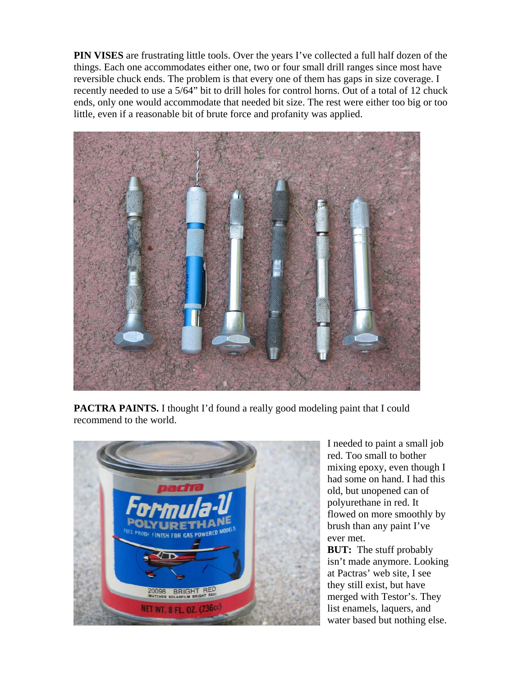**PIN VISES** are frustrating little tools. Over the years I've collected a full half dozen of the things. Each one accommodates either one, two or four small drill ranges since most have reversible chuck ends. The problem is that every one of them has gaps in size coverage. I recently needed to use a 5/64" bit to drill holes for control horns. Out of a total of 12 chuck ends, only one would accommodate that needed bit size. The rest were either too big or too little, even if a reasonable bit of brute force and profanity was applied.



**PACTRA PAINTS.** I thought I'd found a really good modeling paint that I could recommend to the world.



I needed to paint a small job red. Too small to bother mixing epoxy, even though I had some on hand. I had this old, but unopened can of polyurethane in red. It flowed on more smoothly by brush than any paint I've ever met.

**BUT:** The stuff probably isn't made anymore. Looking at Pactras' web site, I see they still exist, but have merged with Testor's. They list enamels, laquers, and water based but nothing else.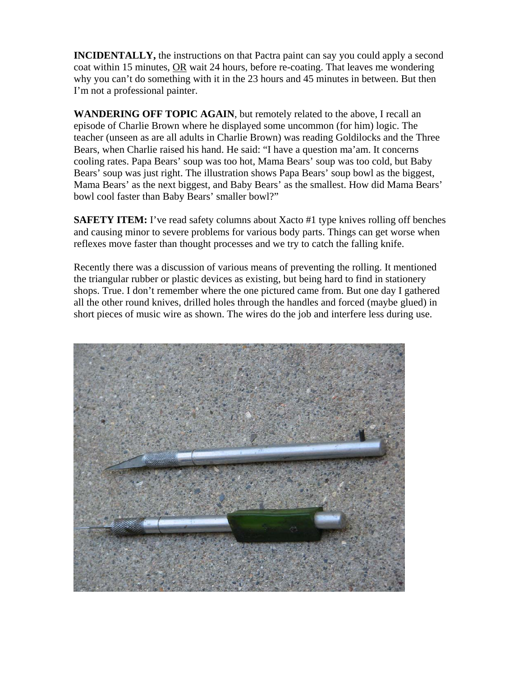**INCIDENTALLY,** the instructions on that Pactra paint can say you could apply a second coat within 15 minutes, OR wait 24 hours, before re-coating. That leaves me wondering why you can't do something with it in the 23 hours and 45 minutes in between. But then I'm not a professional painter.

**WANDERING OFF TOPIC AGAIN**, but remotely related to the above, I recall an episode of Charlie Brown where he displayed some uncommon (for him) logic. The teacher (unseen as are all adults in Charlie Brown) was reading Goldilocks and the Three Bears, when Charlie raised his hand. He said: "I have a question ma'am. It concerns cooling rates. Papa Bears' soup was too hot, Mama Bears' soup was too cold, but Baby Bears' soup was just right. The illustration shows Papa Bears' soup bowl as the biggest, Mama Bears' as the next biggest, and Baby Bears' as the smallest. How did Mama Bears' bowl cool faster than Baby Bears' smaller bowl?"

**SAFETY ITEM:** I've read safety columns about Xacto #1 type knives rolling off benches and causing minor to severe problems for various body parts. Things can get worse when reflexes move faster than thought processes and we try to catch the falling knife.

Recently there was a discussion of various means of preventing the rolling. It mentioned the triangular rubber or plastic devices as existing, but being hard to find in stationery shops. True. I don't remember where the one pictured came from. But one day I gathered all the other round knives, drilled holes through the handles and forced (maybe glued) in short pieces of music wire as shown. The wires do the job and interfere less during use.

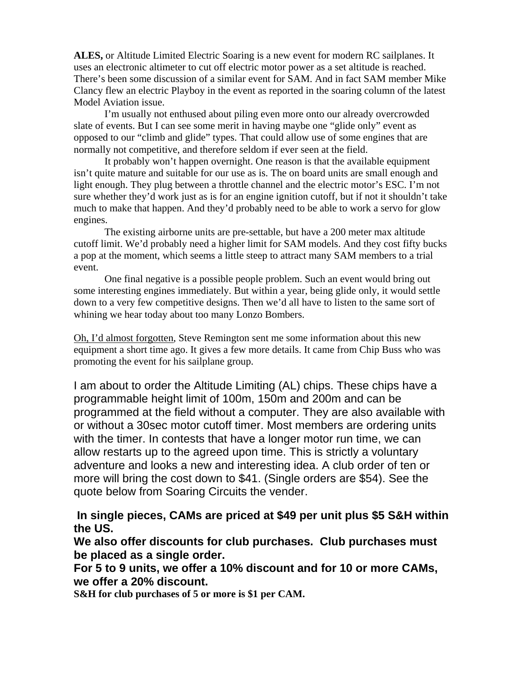**ALES,** or Altitude Limited Electric Soaring is a new event for modern RC sailplanes. It uses an electronic altimeter to cut off electric motor power as a set altitude is reached. There's been some discussion of a similar event for SAM. And in fact SAM member Mike Clancy flew an electric Playboy in the event as reported in the soaring column of the latest Model Aviation issue.

 I'm usually not enthused about piling even more onto our already overcrowded slate of events. But I can see some merit in having maybe one "glide only" event as opposed to our "climb and glide" types. That could allow use of some engines that are normally not competitive, and therefore seldom if ever seen at the field.

 It probably won't happen overnight. One reason is that the available equipment isn't quite mature and suitable for our use as is. The on board units are small enough and light enough. They plug between a throttle channel and the electric motor's ESC. I'm not sure whether they'd work just as is for an engine ignition cutoff, but if not it shouldn't take much to make that happen. And they'd probably need to be able to work a servo for glow engines.

 The existing airborne units are pre-settable, but have a 200 meter max altitude cutoff limit. We'd probably need a higher limit for SAM models. And they cost fifty bucks a pop at the moment, which seems a little steep to attract many SAM members to a trial event.

 One final negative is a possible people problem. Such an event would bring out some interesting engines immediately. But within a year, being glide only, it would settle down to a very few competitive designs. Then we'd all have to listen to the same sort of whining we hear today about too many Lonzo Bombers.

Oh, I'd almost forgotten, Steve Remington sent me some information about this new equipment a short time ago. It gives a few more details. It came from Chip Buss who was promoting the event for his sailplane group.

I am about to order the Altitude Limiting (AL) chips. These chips have a programmable height limit of 100m, 150m and 200m and can be programmed at the field without a computer. They are also available with or without a 30sec motor cutoff timer. Most members are ordering units with the timer. In contests that have a longer motor run time, we can allow restarts up to the agreed upon time. This is strictly a voluntary adventure and looks a new and interesting idea. A club order of ten or more will bring the cost down to \$41. (Single orders are \$54). See the quote below from Soaring Circuits the vender.

 **In single pieces, CAMs are priced at \$49 per unit plus \$5 S&H within the US.**

**We also offer discounts for club purchases. Club purchases must be placed as a single order.** 

**For 5 to 9 units, we offer a 10% discount and for 10 or more CAMs, we offer a 20% discount.** 

**S&H for club purchases of 5 or more is \$1 per CAM.**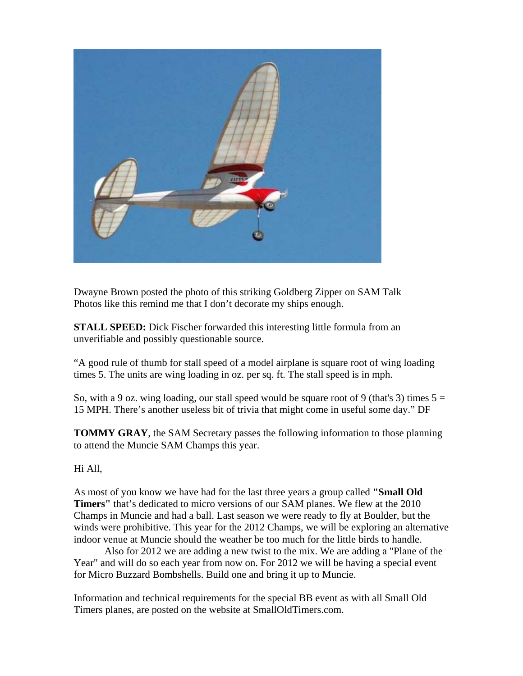

Dwayne Brown posted the photo of this striking Goldberg Zipper on SAM Talk Photos like this remind me that I don't decorate my ships enough.

**STALL SPEED:** Dick Fischer forwarded this interesting little formula from an unverifiable and possibly questionable source.

"A good rule of thumb for stall speed of a model airplane is square root of wing loading times 5. The units are wing loading in oz. per sq. ft. The stall speed is in mph.

So, with a 9 oz. wing loading, our stall speed would be square root of 9 (that's 3) times  $5 =$ 15 MPH. There's another useless bit of trivia that might come in useful some day." DF

**TOMMY GRAY**, the SAM Secretary passes the following information to those planning to attend the Muncie SAM Champs this year.

Hi All,

As most of you know we have had for the last three years a group called **"Small Old Timers"** that's dedicated to micro versions of our SAM planes. We flew at the 2010 Champs in Muncie and had a ball. Last season we were ready to fly at Boulder, but the winds were prohibitive. This year for the 2012 Champs, we will be exploring an alternative indoor venue at Muncie should the weather be too much for the little birds to handle.

Also for 2012 we are adding a new twist to the mix. We are adding a "Plane of the Year" and will do so each year from now on. For 2012 we will be having a special event for Micro Buzzard Bombshells. Build one and bring it up to Muncie.

Information and technical requirements for the special BB event as with all Small Old Timers planes, are posted on the website at SmallOldTimers.com.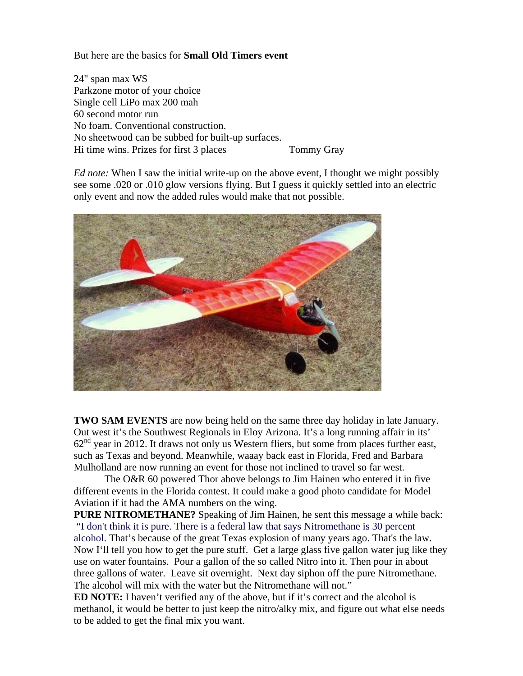But here are the basics for **Small Old Timers event** 

24" span max WS Parkzone motor of your choice Single cell LiPo max 200 mah 60 second motor run No foam. Conventional construction. No sheetwood can be subbed for built-up surfaces. Hi time wins. Prizes for first 3 places Tommy Gray

*Ed note:* When I saw the initial write-up on the above event, I thought we might possibly see some .020 or .010 glow versions flying. But I guess it quickly settled into an electric only event and now the added rules would make that not possible.



**TWO SAM EVENTS** are now being held on the same three day holiday in late January. Out west it's the Southwest Regionals in Eloy Arizona. It's a long running affair in its'  $62<sup>nd</sup>$  year in 2012. It draws not only us Western fliers, but some from places further east, such as Texas and beyond. Meanwhile, waaay back east in Florida, Fred and Barbara Mulholland are now running an event for those not inclined to travel so far west.

 The O&R 60 powered Thor above belongs to Jim Hainen who entered it in five different events in the Florida contest. It could make a good photo candidate for Model Aviation if it had the AMA numbers on the wing.

**PURE NITROMETHANE?** Speaking of Jim Hainen, he sent this message a while back: "I don't think it is pure. There is a federal law that says Nitromethane is 30 percent alcohol. That's because of the great Texas explosion of many years ago. That's the law. Now I'll tell you how to get the pure stuff. Get a large glass five gallon water jug like they use on water fountains. Pour a gallon of the so called Nitro into it. Then pour in about three gallons of water. Leave sit overnight. Next day siphon off the pure Nitromethane. The alcohol will mix with the water but the Nitromethane will not."

**ED NOTE:** I haven't verified any of the above, but if it's correct and the alcohol is methanol, it would be better to just keep the nitro/alky mix, and figure out what else needs to be added to get the final mix you want.